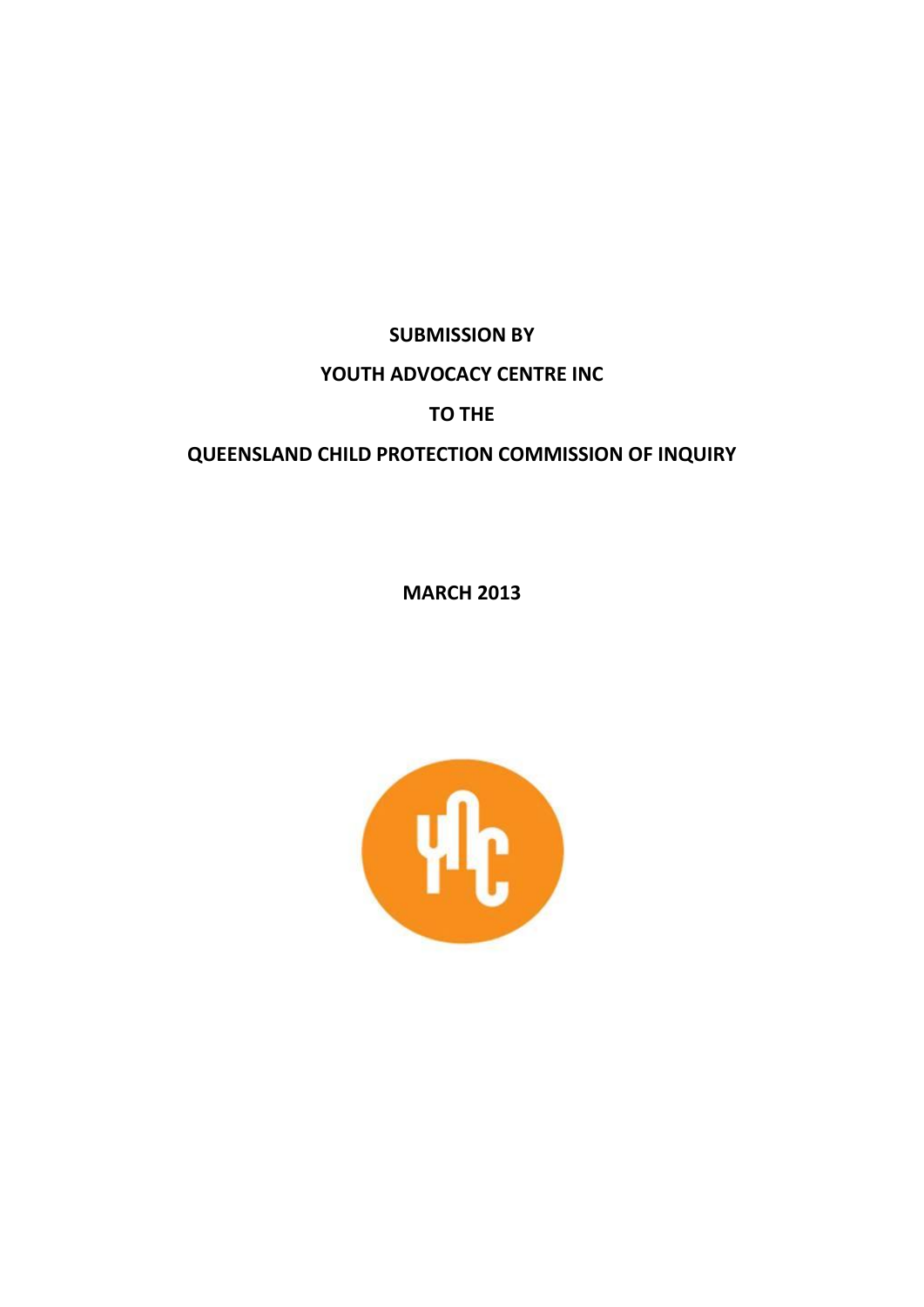# **SUBMISSION BY YOUTH ADVOCACY CENTRE INC TO THE QUEENSLAND CHILD PROTECTION COMMISSION OF INQUIRY**

**MARCH 2013**

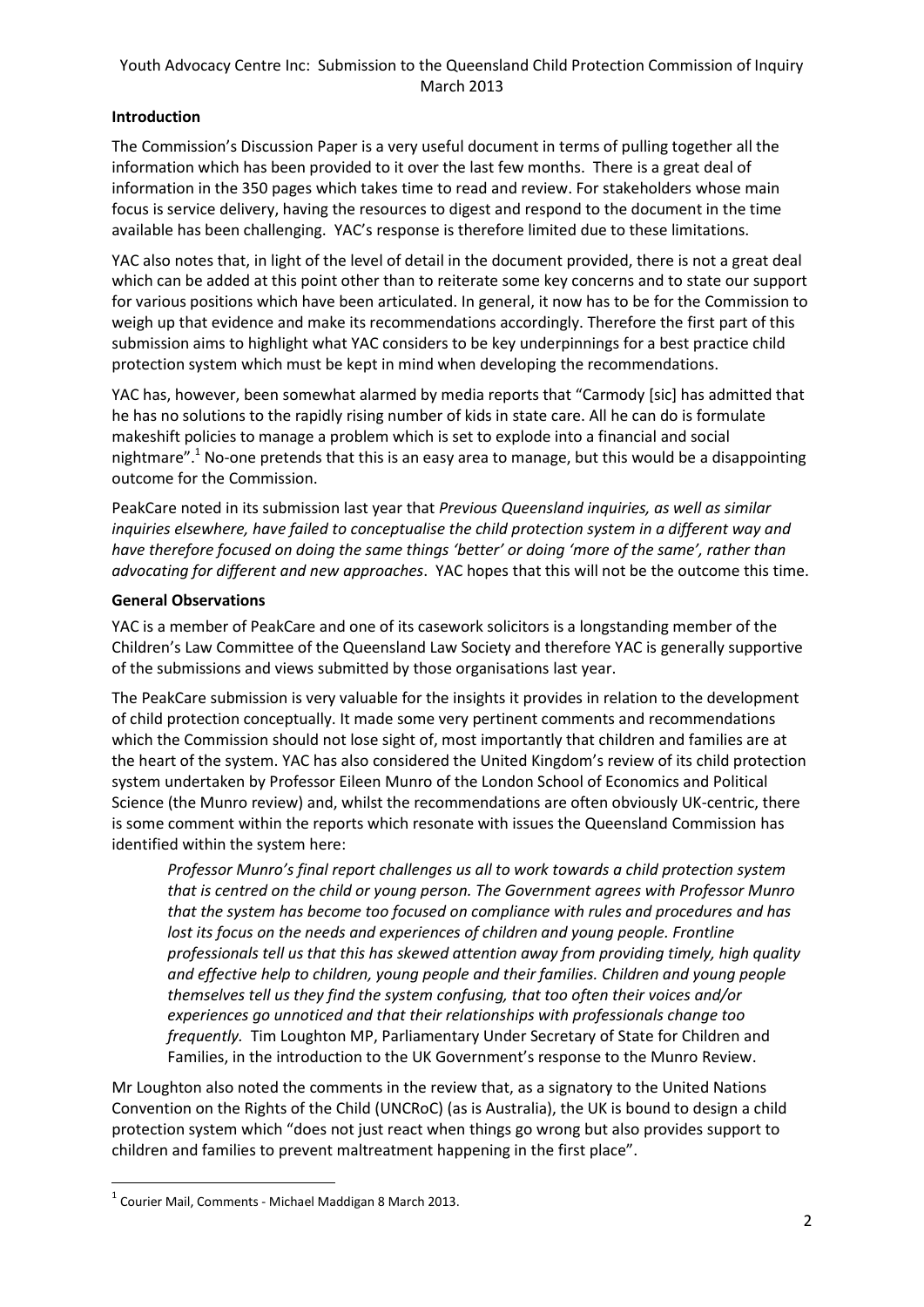# **Introduction**

The Commission's Discussion Paper is a very useful document in terms of pulling together all the information which has been provided to it over the last few months. There is a great deal of information in the 350 pages which takes time to read and review. For stakeholders whose main focus is service delivery, having the resources to digest and respond to the document in the time available has been challenging. YAC's response is therefore limited due to these limitations.

YAC also notes that, in light of the level of detail in the document provided, there is not a great deal which can be added at this point other than to reiterate some key concerns and to state our support for various positions which have been articulated. In general, it now has to be for the Commission to weigh up that evidence and make its recommendations accordingly. Therefore the first part of this submission aims to highlight what YAC considers to be key underpinnings for a best practice child protection system which must be kept in mind when developing the recommendations.

YAC has, however, been somewhat alarmed by media reports that "Carmody [sic] has admitted that he has no solutions to the rapidly rising number of kids in state care. All he can do is formulate makeshift policies to manage a problem which is set to explode into a financial and social nightmare".<sup>1</sup> No-one pretends that this is an easy area to manage, but this would be a disappointing outcome for the Commission.

PeakCare noted in its submission last year that *Previous Queensland inquiries, as well as similar inquiries elsewhere, have failed to conceptualise the child protection system in a different way and have therefore focused on doing the same things 'better' or doing 'more of the same', rather than advocating for different and new approaches*. YAC hopes that this will not be the outcome this time.

# **General Observations**

YAC is a member of PeakCare and one of its casework solicitors is a longstanding member of the Children's Law Committee of the Queensland Law Society and therefore YAC is generally supportive of the submissions and views submitted by those organisations last year.

The PeakCare submission is very valuable for the insights it provides in relation to the development of child protection conceptually. It made some very pertinent comments and recommendations which the Commission should not lose sight of, most importantly that children and families are at the heart of the system. YAC has also considered the United Kingdom's review of its child protection system undertaken by Professor Eileen Munro of the London School of Economics and Political Science (the Munro review) and, whilst the recommendations are often obviously UK-centric, there is some comment within the reports which resonate with issues the Queensland Commission has identified within the system here:

*Professor Munro's final report challenges us all to work towards a child protection system that is centred on the child or young person. The Government agrees with Professor Munro that the system has become too focused on compliance with rules and procedures and has*  lost its focus on the needs and experiences of children and young people. Frontline *professionals tell us that this has skewed attention away from providing timely, high quality and effective help to children, young people and their families. Children and young people themselves tell us they find the system confusing, that too often their voices and/or experiences go unnoticed and that their relationships with professionals change too frequently.* Tim Loughton MP, Parliamentary Under Secretary of State for Children and Families, in the introduction to the UK Government's response to the Munro Review.

Mr Loughton also noted the comments in the review that, as a signatory to the United Nations Convention on the Rights of the Child (UNCRoC) (as is Australia), the UK is bound to design a child protection system which "does not just react when things go wrong but also provides support to children and families to prevent maltreatment happening in the first place".

**.** 

 $<sup>1</sup>$  Courier Mail, Comments - Michael Maddigan 8 March 2013.</sup>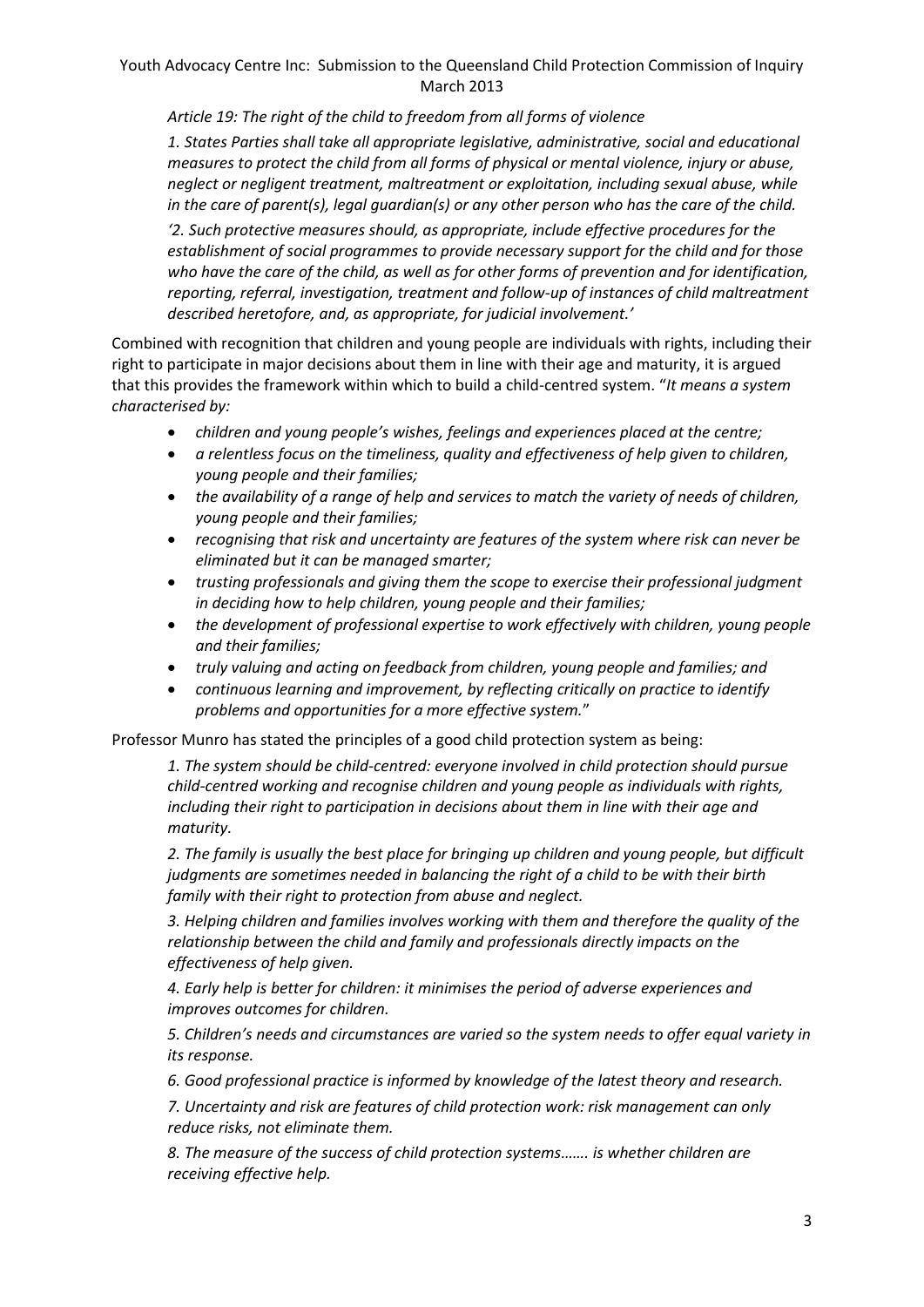*Article 19: The right of the child to freedom from all forms of violence* 

*1. States Parties shall take all appropriate legislative, administrative, social and educational measures to protect the child from all forms of physical or mental violence, injury or abuse, neglect or negligent treatment, maltreatment or exploitation, including sexual abuse, while in the care of parent(s), legal guardian(s) or any other person who has the care of the child.*

*'2. Such protective measures should, as appropriate, include effective procedures for the establishment of social programmes to provide necessary support for the child and for those who have the care of the child, as well as for other forms of prevention and for identification, reporting, referral, investigation, treatment and follow-up of instances of child maltreatment described heretofore, and, as appropriate, for judicial involvement.'*

Combined with recognition that children and young people are individuals with rights, including their right to participate in major decisions about them in line with their age and maturity, it is argued that this provides the framework within which to build a child-centred system. "*It means a system characterised by:*

- *children and young people's wishes, feelings and experiences placed at the centre;*
- *a relentless focus on the timeliness, quality and effectiveness of help given to children, young people and their families;*
- *the availability of a range of help and services to match the variety of needs of children, young people and their families;*
- *recognising that risk and uncertainty are features of the system where risk can never be eliminated but it can be managed smarter;*
- *trusting professionals and giving them the scope to exercise their professional judgment in deciding how to help children, young people and their families;*
- *the development of professional expertise to work effectively with children, young people and their families;*
- *truly valuing and acting on feedback from children, young people and families; and*
- *continuous learning and improvement, by reflecting critically on practice to identify problems and opportunities for a more effective system.*"

Professor Munro has stated the principles of a good child protection system as being:

*1. The system should be child-centred: everyone involved in child protection should pursue child-centred working and recognise children and young people as individuals with rights, including their right to participation in decisions about them in line with their age and maturity.*

*2. The family is usually the best place for bringing up children and young people, but difficult judgments are sometimes needed in balancing the right of a child to be with their birth family with their right to protection from abuse and neglect.*

*3. Helping children and families involves working with them and therefore the quality of the relationship between the child and family and professionals directly impacts on the effectiveness of help given.*

*4. Early help is better for children: it minimises the period of adverse experiences and improves outcomes for children.*

*5. Children's needs and circumstances are varied so the system needs to offer equal variety in its response.*

*6. Good professional practice is informed by knowledge of the latest theory and research.*

*7. Uncertainty and risk are features of child protection work: risk management can only reduce risks, not eliminate them.*

*8. The measure of the success of child protection systems……. is whether children are receiving effective help.*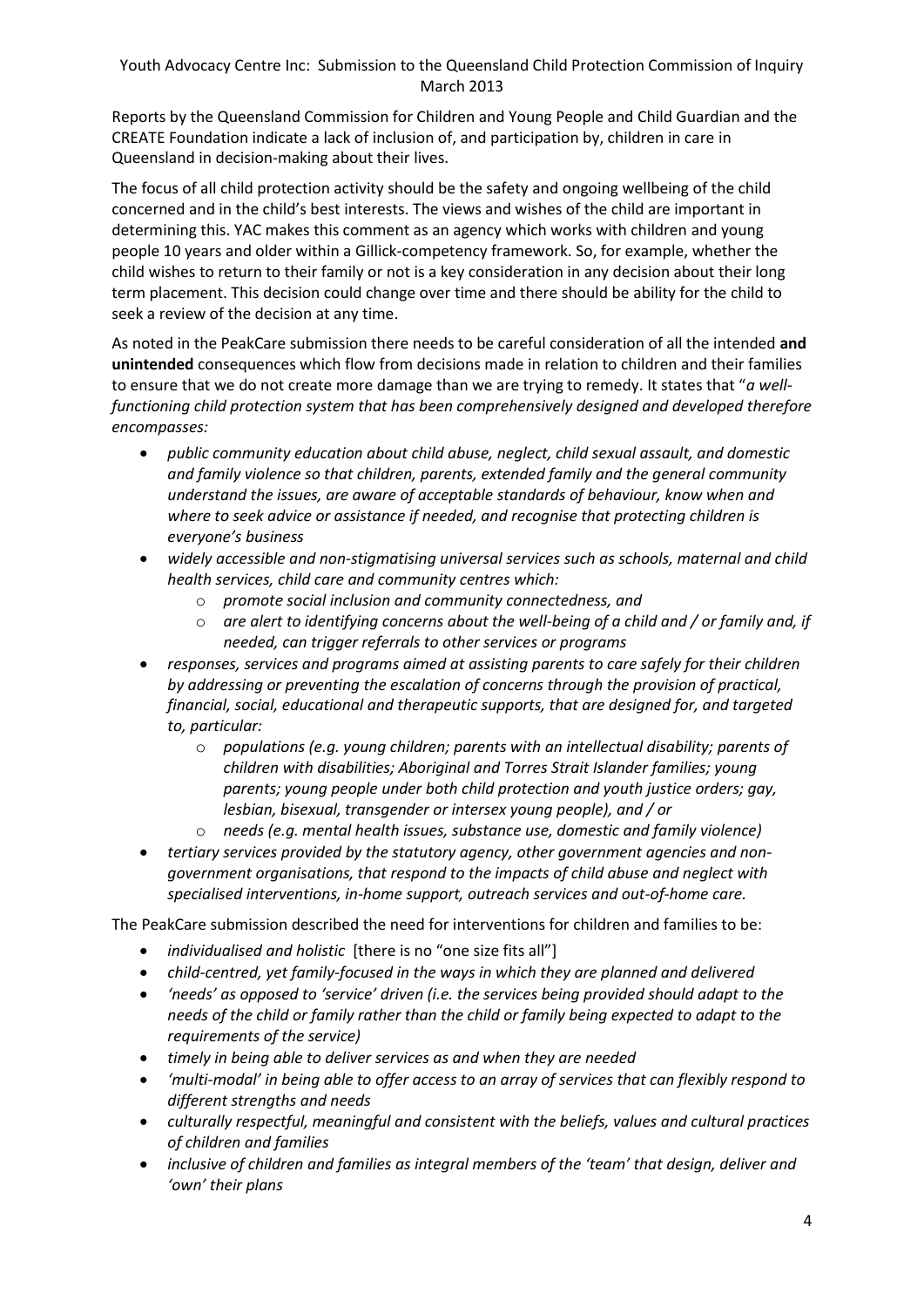Reports by the Queensland Commission for Children and Young People and Child Guardian and the CREATE Foundation indicate a lack of inclusion of, and participation by, children in care in Queensland in decision-making about their lives.

The focus of all child protection activity should be the safety and ongoing wellbeing of the child concerned and in the child's best interests. The views and wishes of the child are important in determining this. YAC makes this comment as an agency which works with children and young people 10 years and older within a Gillick-competency framework. So, for example, whether the child wishes to return to their family or not is a key consideration in any decision about their long term placement. This decision could change over time and there should be ability for the child to seek a review of the decision at any time.

As noted in the PeakCare submission there needs to be careful consideration of all the intended **and unintended** consequences which flow from decisions made in relation to children and their families to ensure that we do not create more damage than we are trying to remedy. It states that "*a wellfunctioning child protection system that has been comprehensively designed and developed therefore encompasses:*

- *public community education about child abuse, neglect, child sexual assault, and domestic and family violence so that children, parents, extended family and the general community understand the issues, are aware of acceptable standards of behaviour, know when and where to seek advice or assistance if needed, and recognise that protecting children is everyone's business*
- *widely accessible and non-stigmatising universal services such as schools, maternal and child health services, child care and community centres which:*
	- o *promote social inclusion and community connectedness, and*
	- o *are alert to identifying concerns about the well-being of a child and / or family and, if needed, can trigger referrals to other services or programs*
- *responses, services and programs aimed at assisting parents to care safely for their children by addressing or preventing the escalation of concerns through the provision of practical, financial, social, educational and therapeutic supports, that are designed for, and targeted to, particular:*
	- o *populations (e.g. young children; parents with an intellectual disability; parents of children with disabilities; Aboriginal and Torres Strait Islander families; young parents; young people under both child protection and youth justice orders; gay, lesbian, bisexual, transgender or intersex young people), and / or*
	- o *needs (e.g. mental health issues, substance use, domestic and family violence)*
- *tertiary services provided by the statutory agency, other government agencies and nongovernment organisations, that respond to the impacts of child abuse and neglect with specialised interventions, in-home support, outreach services and out-of-home care.*

The PeakCare submission described the need for interventions for children and families to be:

- *individualised and holistic* [there is no "one size fits all"]
- *child-centred, yet family-focused in the ways in which they are planned and delivered*
- *'needs' as opposed to 'service' driven (i.e. the services being provided should adapt to the needs of the child or family rather than the child or family being expected to adapt to the requirements of the service)*
- *timely in being able to deliver services as and when they are needed*
- *'multi-modal' in being able to offer access to an array of services that can flexibly respond to different strengths and needs*
- *culturally respectful, meaningful and consistent with the beliefs, values and cultural practices of children and families*
- *inclusive of children and families as integral members of the 'team' that design, deliver and 'own' their plans*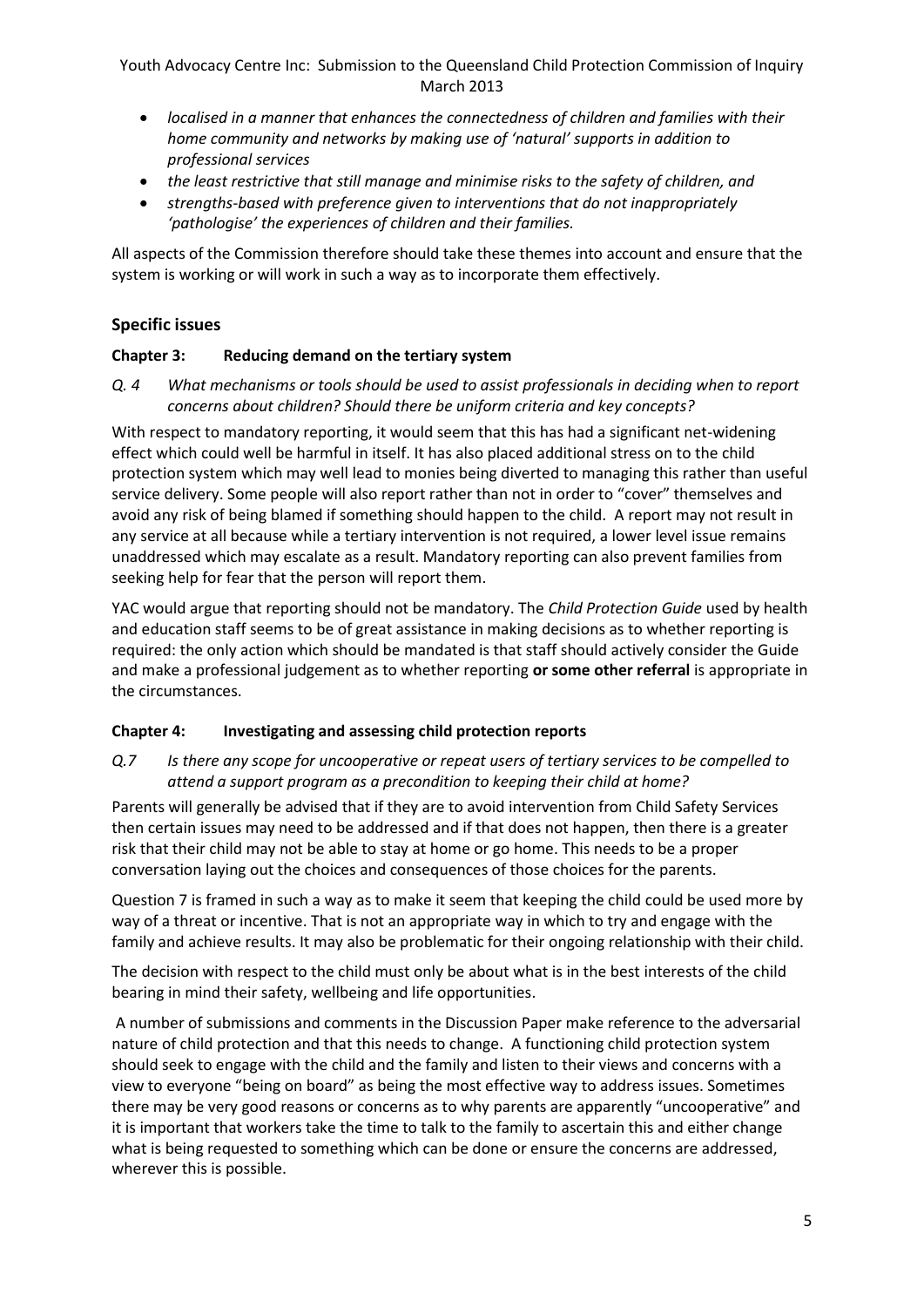- *localised in a manner that enhances the connectedness of children and families with their home community and networks by making use of 'natural' supports in addition to professional services*
- *the least restrictive that still manage and minimise risks to the safety of children, and*
- *strengths-based with preference given to interventions that do not inappropriately 'pathologise' the experiences of children and their families.*

All aspects of the Commission therefore should take these themes into account and ensure that the system is working or will work in such a way as to incorporate them effectively.

# **Specific issues**

#### **Chapter 3: Reducing demand on the tertiary system**

*Q. 4 What mechanisms or tools should be used to assist professionals in deciding when to report concerns about children? Should there be uniform criteria and key concepts?*

With respect to mandatory reporting, it would seem that this has had a significant net-widening effect which could well be harmful in itself. It has also placed additional stress on to the child protection system which may well lead to monies being diverted to managing this rather than useful service delivery. Some people will also report rather than not in order to "cover" themselves and avoid any risk of being blamed if something should happen to the child. A report may not result in any service at all because while a tertiary intervention is not required, a lower level issue remains unaddressed which may escalate as a result. Mandatory reporting can also prevent families from seeking help for fear that the person will report them.

YAC would argue that reporting should not be mandatory. The *Child Protection Guide* used by health and education staff seems to be of great assistance in making decisions as to whether reporting is required: the only action which should be mandated is that staff should actively consider the Guide and make a professional judgement as to whether reporting **or some other referral** is appropriate in the circumstances.

# **Chapter 4: Investigating and assessing child protection reports**

#### *Q.7 Is there any scope for uncooperative or repeat users of tertiary services to be compelled to attend a support program as a precondition to keeping their child at home?*

Parents will generally be advised that if they are to avoid intervention from Child Safety Services then certain issues may need to be addressed and if that does not happen, then there is a greater risk that their child may not be able to stay at home or go home. This needs to be a proper conversation laying out the choices and consequences of those choices for the parents.

Question 7 is framed in such a way as to make it seem that keeping the child could be used more by way of a threat or incentive. That is not an appropriate way in which to try and engage with the family and achieve results. It may also be problematic for their ongoing relationship with their child.

The decision with respect to the child must only be about what is in the best interests of the child bearing in mind their safety, wellbeing and life opportunities.

A number of submissions and comments in the Discussion Paper make reference to the adversarial nature of child protection and that this needs to change. A functioning child protection system should seek to engage with the child and the family and listen to their views and concerns with a view to everyone "being on board" as being the most effective way to address issues. Sometimes there may be very good reasons or concerns as to why parents are apparently "uncooperative" and it is important that workers take the time to talk to the family to ascertain this and either change what is being requested to something which can be done or ensure the concerns are addressed, wherever this is possible.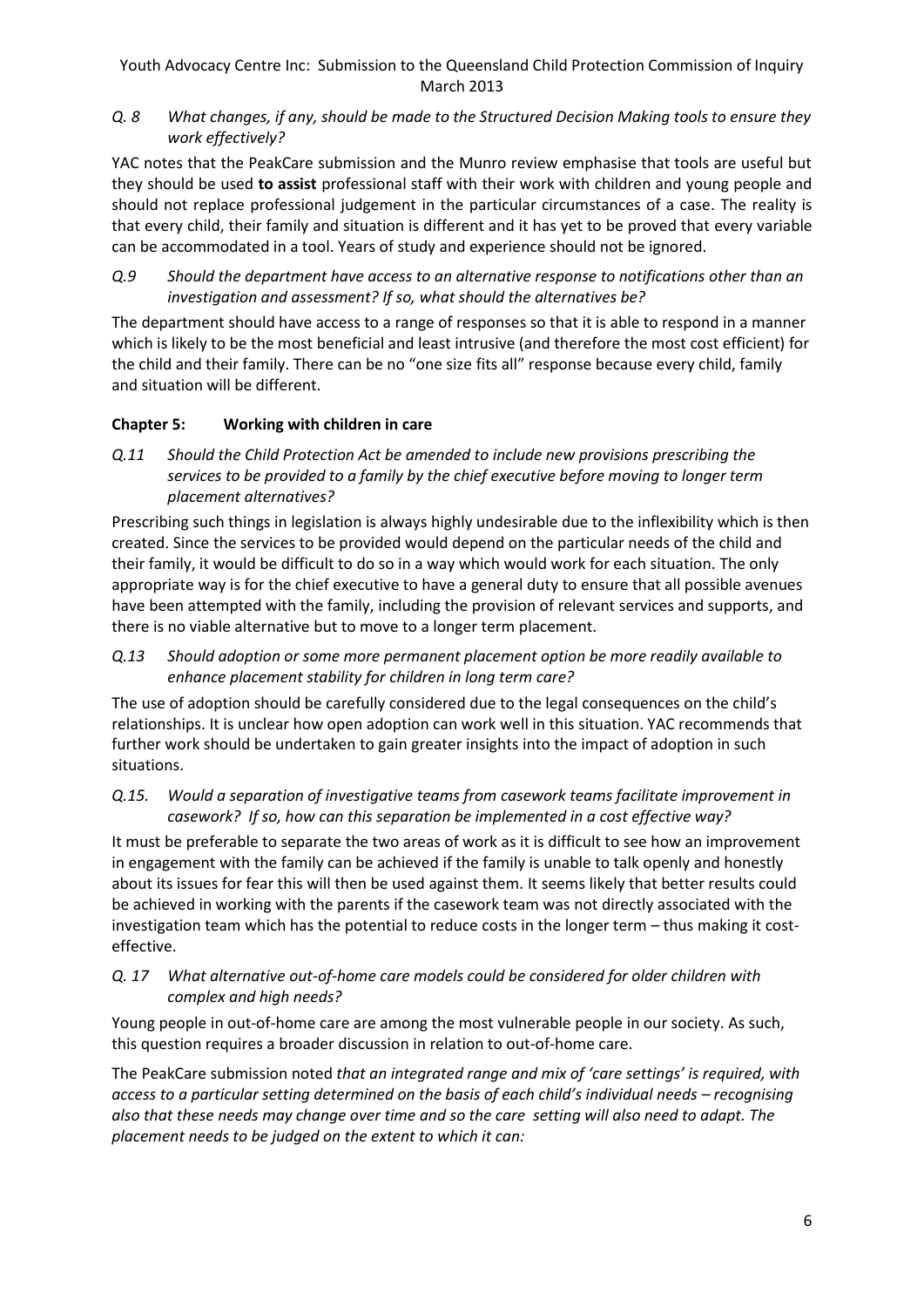*Q. 8 What changes, if any, should be made to the Structured Decision Making tools to ensure they work effectively?*

YAC notes that the PeakCare submission and the Munro review emphasise that tools are useful but they should be used **to assist** professional staff with their work with children and young people and should not replace professional judgement in the particular circumstances of a case. The reality is that every child, their family and situation is different and it has yet to be proved that every variable can be accommodated in a tool. Years of study and experience should not be ignored.

*Q.9 Should the department have access to an alternative response to notifications other than an investigation and assessment? If so, what should the alternatives be?*

The department should have access to a range of responses so that it is able to respond in a manner which is likely to be the most beneficial and least intrusive (and therefore the most cost efficient) for the child and their family. There can be no "one size fits all" response because every child, family and situation will be different.

# **Chapter 5: Working with children in care**

*Q.11 Should the Child Protection Act be amended to include new provisions prescribing the services to be provided to a family by the chief executive before moving to longer term placement alternatives?*

Prescribing such things in legislation is always highly undesirable due to the inflexibility which is then created. Since the services to be provided would depend on the particular needs of the child and their family, it would be difficult to do so in a way which would work for each situation. The only appropriate way is for the chief executive to have a general duty to ensure that all possible avenues have been attempted with the family, including the provision of relevant services and supports, and there is no viable alternative but to move to a longer term placement.

*Q.13 Should adoption or some more permanent placement option be more readily available to enhance placement stability for children in long term care?*

The use of adoption should be carefully considered due to the legal consequences on the child's relationships. It is unclear how open adoption can work well in this situation. YAC recommends that further work should be undertaken to gain greater insights into the impact of adoption in such situations.

*Q.15. Would a separation of investigative teams from casework teams facilitate improvement in casework? If so, how can this separation be implemented in a cost effective way?*

It must be preferable to separate the two areas of work as it is difficult to see how an improvement in engagement with the family can be achieved if the family is unable to talk openly and honestly about its issues for fear this will then be used against them. It seems likely that better results could be achieved in working with the parents if the casework team was not directly associated with the investigation team which has the potential to reduce costs in the longer term – thus making it costeffective.

# *Q. 17 What alternative out-of-home care models could be considered for older children with complex and high needs?*

Young people in out-of-home care are among the most vulnerable people in our society. As such, this question requires a broader discussion in relation to out-of-home care.

The PeakCare submission noted *that an integrated range and mix of 'care settings' is required, with access to a particular setting determined on the basis of each child's individual needs – recognising also that these needs may change over time and so the care setting will also need to adapt. The placement needs to be judged on the extent to which it can:*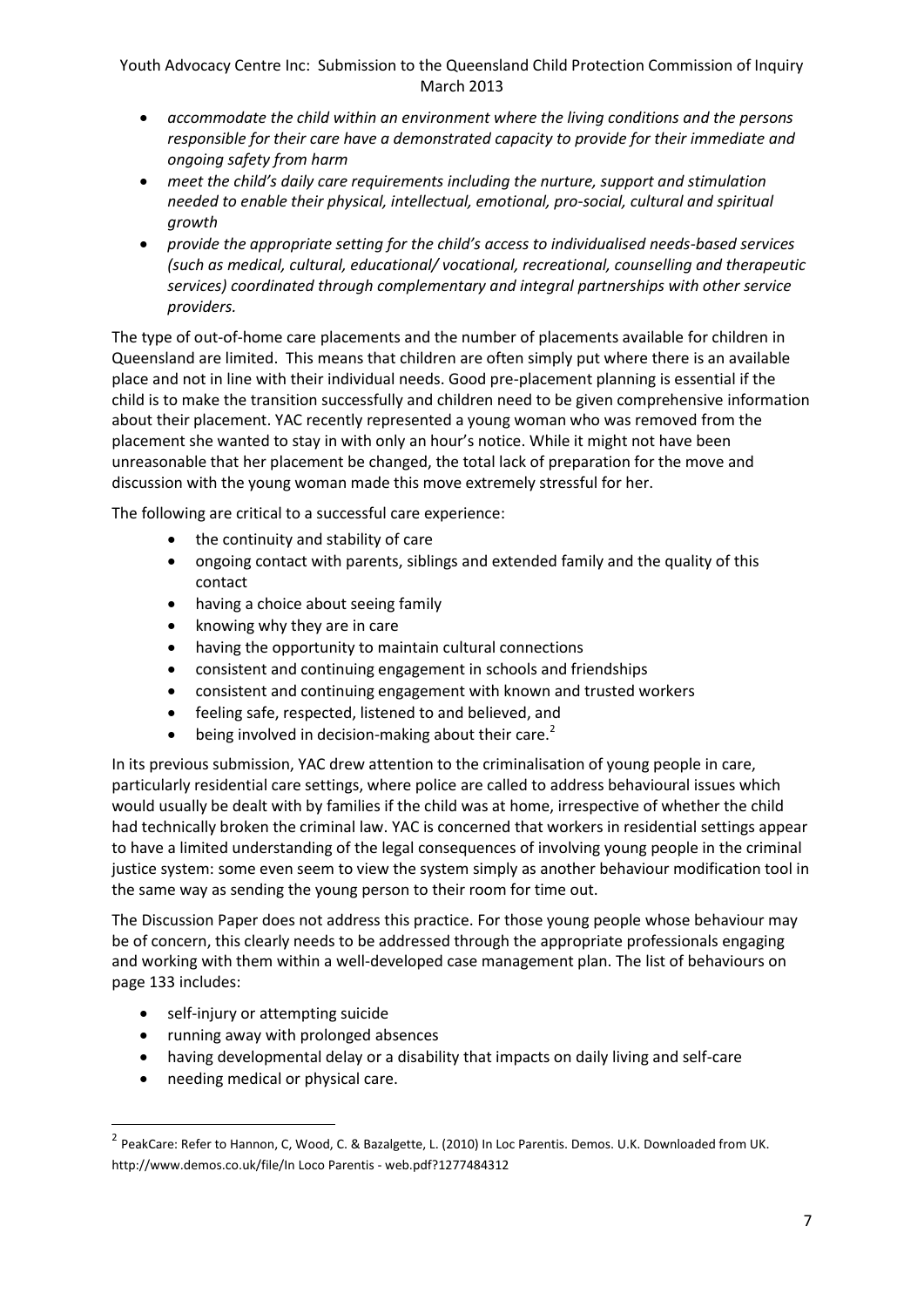- *accommodate the child within an environment where the living conditions and the persons responsible for their care have a demonstrated capacity to provide for their immediate and ongoing safety from harm*
- *meet the child's daily care requirements including the nurture, support and stimulation needed to enable their physical, intellectual, emotional, pro-social, cultural and spiritual growth*
- *provide the appropriate setting for the child's access to individualised needs-based services (such as medical, cultural, educational/ vocational, recreational, counselling and therapeutic services) coordinated through complementary and integral partnerships with other service providers.*

The type of out-of-home care placements and the number of placements available for children in Queensland are limited. This means that children are often simply put where there is an available place and not in line with their individual needs. Good pre-placement planning is essential if the child is to make the transition successfully and children need to be given comprehensive information about their placement. YAC recently represented a young woman who was removed from the placement she wanted to stay in with only an hour's notice. While it might not have been unreasonable that her placement be changed, the total lack of preparation for the move and discussion with the young woman made this move extremely stressful for her.

The following are critical to a successful care experience:

- the continuity and stability of care
- ongoing contact with parents, siblings and extended family and the quality of this contact
- having a choice about seeing family
- knowing why they are in care
- having the opportunity to maintain cultural connections
- consistent and continuing engagement in schools and friendships
- consistent and continuing engagement with known and trusted workers
- feeling safe, respected, listened to and believed, and
- $\bullet$  being involved in decision-making about their care.<sup>2</sup>

In its previous submission, YAC drew attention to the criminalisation of young people in care, particularly residential care settings, where police are called to address behavioural issues which would usually be dealt with by families if the child was at home, irrespective of whether the child had technically broken the criminal law. YAC is concerned that workers in residential settings appear to have a limited understanding of the legal consequences of involving young people in the criminal justice system: some even seem to view the system simply as another behaviour modification tool in the same way as sending the young person to their room for time out.

The Discussion Paper does not address this practice. For those young people whose behaviour may be of concern, this clearly needs to be addressed through the appropriate professionals engaging and working with them within a well-developed case management plan. The list of behaviours on page 133 includes:

- self-injury or attempting suicide
- running away with prolonged absences
- having developmental delay or a disability that impacts on daily living and self-care
- needing medical or physical care.

1

<sup>&</sup>lt;sup>2</sup> PeakCare: Refer to Hannon, C, Wood, C. & Bazalgette, L. (2010) In Loc Parentis. Demos. U.K. Downloaded from UK. http://www.demos.co.uk/file/In Loco Parentis - web.pdf?1277484312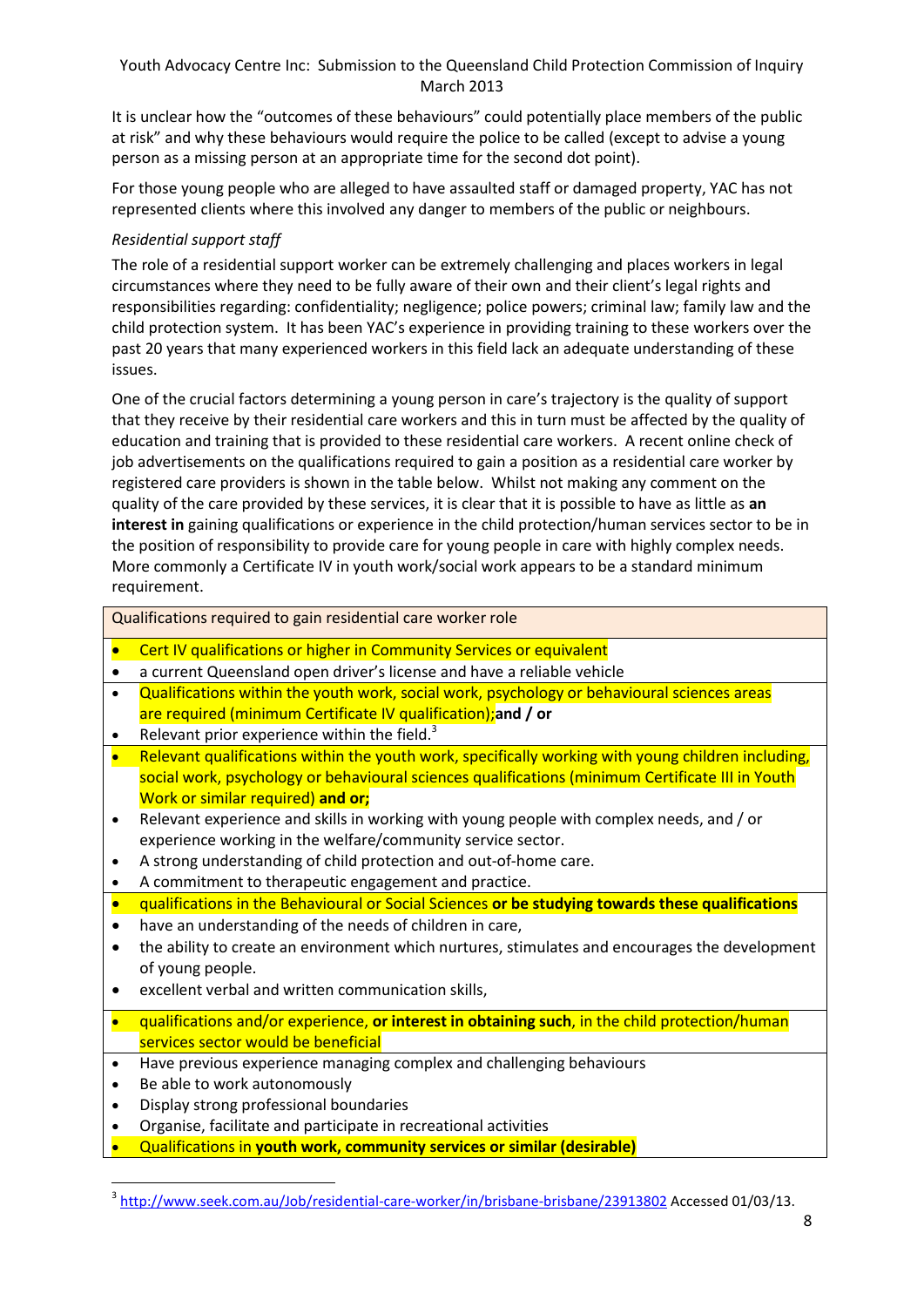It is unclear how the "outcomes of these behaviours" could potentially place members of the public at risk" and why these behaviours would require the police to be called (except to advise a young person as a missing person at an appropriate time for the second dot point).

For those young people who are alleged to have assaulted staff or damaged property, YAC has not represented clients where this involved any danger to members of the public or neighbours.

# *Residential support staff*

The role of a residential support worker can be extremely challenging and places workers in legal circumstances where they need to be fully aware of their own and their client's legal rights and responsibilities regarding: confidentiality; negligence; police powers; criminal law; family law and the child protection system. It has been YAC's experience in providing training to these workers over the past 20 years that many experienced workers in this field lack an adequate understanding of these issues.

One of the crucial factors determining a young person in care's trajectory is the quality of support that they receive by their residential care workers and this in turn must be affected by the quality of education and training that is provided to these residential care workers. A recent online check of job advertisements on the qualifications required to gain a position as a residential care worker by registered care providers is shown in the table below. Whilst not making any comment on the quality of the care provided by these services, it is clear that it is possible to have as little as **an interest in** gaining qualifications or experience in the child protection/human services sector to be in the position of responsibility to provide care for young people in care with highly complex needs. More commonly a Certificate IV in youth work/social work appears to be a standard minimum requirement.

Qualifications required to gain residential care worker role

- **•** Cert IV qualifications or higher in Community Services or equivalent
- a current Queensland open driver's license and have a reliable vehicle
- Qualifications within the youth work, social work, psychology or behavioural sciences areas are required (minimum Certificate IV qualification);**and / or**
- Relevant prior experience within the field. $3$
- Relevant qualifications within the youth work, specifically working with young children including, social work, psychology or behavioural sciences qualifications (minimum Certificate III in Youth Work or similar required) **and or;**
- Relevant experience and skills in working with young people with complex needs, and / or experience working in the welfare/community service sector.
- A strong understanding of child protection and out-of-home care.
- A commitment to therapeutic engagement and practice.
- qualifications in the Behavioural or Social Sciences **or be studying towards these qualifications**
- have an understanding of the needs of children in care,
- the ability to create an environment which nurtures, stimulates and encourages the development of young people.
- excellent verbal and written communication skills,
- qualifications and/or experience, **or interest in obtaining such**, in the child protection/human services sector would be beneficial
- Have previous experience managing complex and challenging behaviours
- Be able to work autonomously
- Display strong professional boundaries
- Organise, facilitate and participate in recreational activities
- Qualifications in **youth work, community services or similar (desirable)**

**<sup>.</sup>** <sup>3</sup> <http://www.seek.com.au/Job/residential-care-worker/in/brisbane-brisbane/23913802> Accessed 01/03/13.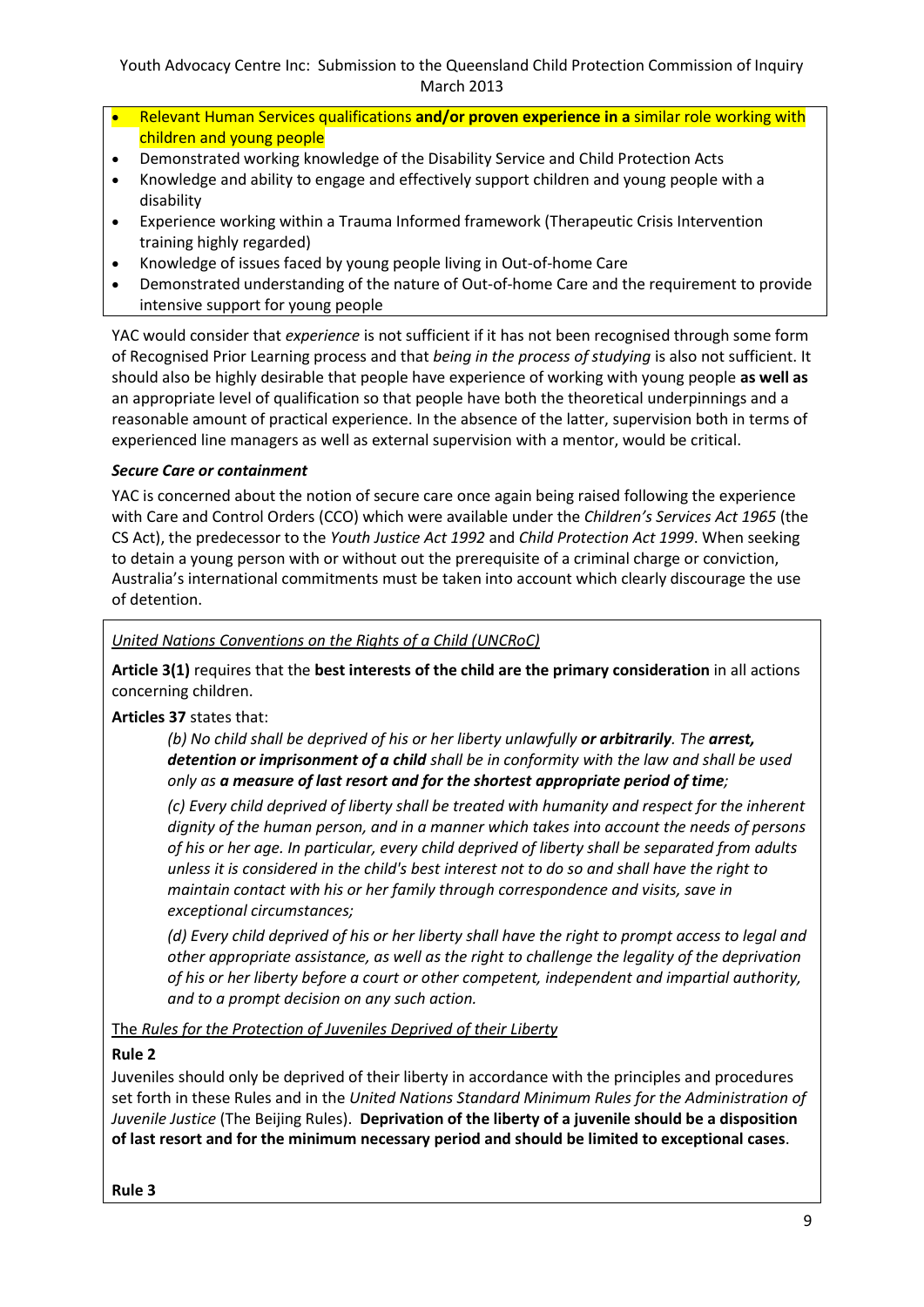- Relevant Human Services qualifications **and/or proven experience in a** similar role working with children and young people
- Demonstrated working knowledge of the Disability Service and Child Protection Acts
- Knowledge and ability to engage and effectively support children and young people with a disability
- Experience working within a Trauma Informed framework (Therapeutic Crisis Intervention training highly regarded)
- Knowledge of issues faced by young people living in Out-of-home Care
- Demonstrated understanding of the nature of Out-of-home Care and the requirement to provide intensive support for young people

YAC would consider that *experience* is not sufficient if it has not been recognised through some form of Recognised Prior Learning process and that *being in the process of studying* is also not sufficient. It should also be highly desirable that people have experience of working with young people **as well as** an appropriate level of qualification so that people have both the theoretical underpinnings and a reasonable amount of practical experience. In the absence of the latter, supervision both in terms of experienced line managers as well as external supervision with a mentor, would be critical.

#### *Secure Care or containment*

YAC is concerned about the notion of secure care once again being raised following the experience with Care and Control Orders (CCO) which were available under the *Children's Services Act 1965* (the CS Act), the predecessor to the *Youth Justice Act 1992* and *Child Protection Act 1999*. When seeking to detain a young person with or without out the prerequisite of a criminal charge or conviction, Australia's international commitments must be taken into account which clearly discourage the use of detention.

#### *United Nations Conventions on the Rights of a Child (UNCRoC)*

**Article 3(1)** requires that the **best interests of the child are the primary consideration** in all actions concerning children.

# **Articles 37** states that:

*(b) No child shall be deprived of his or her liberty unlawfully or arbitrarily. The arrest, detention or imprisonment of a child shall be in conformity with the law and shall be used only as a measure of last resort and for the shortest appropriate period of time;* 

*(c) Every child deprived of liberty shall be treated with humanity and respect for the inherent dignity of the human person, and in a manner which takes into account the needs of persons of his or her age. In particular, every child deprived of liberty shall be separated from adults unless it is considered in the child's best interest not to do so and shall have the right to maintain contact with his or her family through correspondence and visits, save in exceptional circumstances;* 

*(d) Every child deprived of his or her liberty shall have the right to prompt access to legal and other appropriate assistance, as well as the right to challenge the legality of the deprivation of his or her liberty before a court or other competent, independent and impartial authority, and to a prompt decision on any such action.* 

The *Rules for the Protection of Juveniles Deprived of their Liberty* 

# **Rule 2**

Juveniles should only be deprived of their liberty in accordance with the principles and procedures set forth in these Rules and in the *United Nations Standard Minimum Rules for the Administration of Juvenile Justice* (The Beijing Rules). **Deprivation of the liberty of a juvenile should be a disposition of last resort and for the minimum necessary period and should be limited to exceptional cases**.

**Rule 3**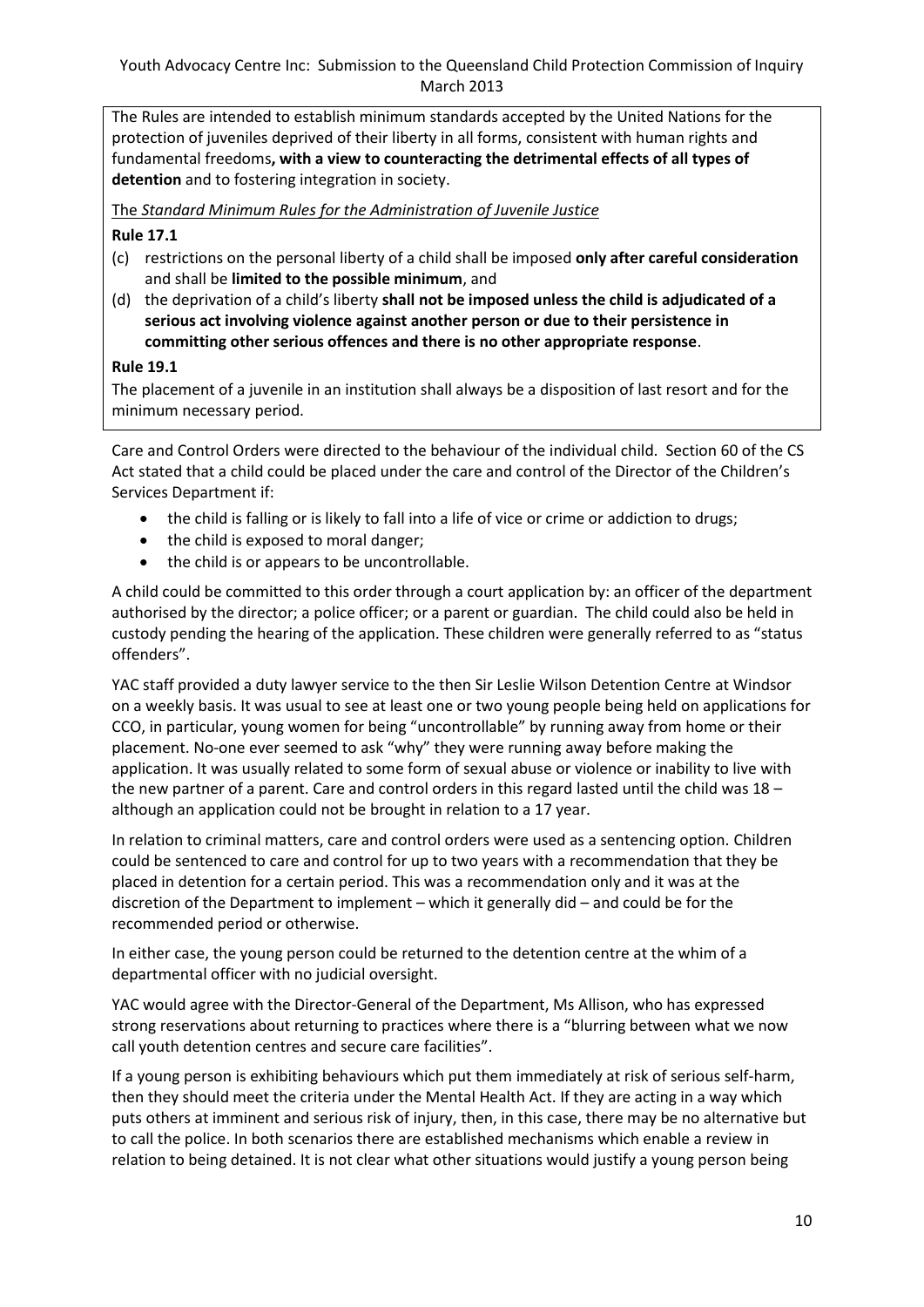The Rules are intended to establish minimum standards accepted by the United Nations for the protection of juveniles deprived of their liberty in all forms, consistent with human rights and fundamental freedoms**, with a view to counteracting the detrimental effects of all types of detention** and to fostering integration in society.

The *Standard Minimum Rules for the Administration of Juvenile Justice*

# **Rule 17.1**

- (c) restrictions on the personal liberty of a child shall be imposed **only after careful consideration** and shall be **limited to the possible minimum**, and
- (d) the deprivation of a child's liberty **shall not be imposed unless the child is adjudicated of a serious act involving violence against another person or due to their persistence in committing other serious offences and there is no other appropriate response**.

# **Rule 19.1**

The placement of a juvenile in an institution shall always be a disposition of last resort and for the minimum necessary period.

Care and Control Orders were directed to the behaviour of the individual child. Section 60 of the CS Act stated that a child could be placed under the care and control of the Director of the Children's Services Department if:

- the child is falling or is likely to fall into a life of vice or crime or addiction to drugs;
- the child is exposed to moral danger;
- the child is or appears to be uncontrollable.

A child could be committed to this order through a court application by: an officer of the department authorised by the director; a police officer; or a parent or guardian. The child could also be held in custody pending the hearing of the application. These children were generally referred to as "status offenders".

YAC staff provided a duty lawyer service to the then Sir Leslie Wilson Detention Centre at Windsor on a weekly basis. It was usual to see at least one or two young people being held on applications for CCO, in particular, young women for being "uncontrollable" by running away from home or their placement. No-one ever seemed to ask "why" they were running away before making the application. It was usually related to some form of sexual abuse or violence or inability to live with the new partner of a parent. Care and control orders in this regard lasted until the child was 18 – although an application could not be brought in relation to a 17 year.

In relation to criminal matters, care and control orders were used as a sentencing option. Children could be sentenced to care and control for up to two years with a recommendation that they be placed in detention for a certain period. This was a recommendation only and it was at the discretion of the Department to implement – which it generally did – and could be for the recommended period or otherwise.

In either case, the young person could be returned to the detention centre at the whim of a departmental officer with no judicial oversight.

YAC would agree with the Director-General of the Department, Ms Allison, who has expressed strong reservations about returning to practices where there is a "blurring between what we now call youth detention centres and secure care facilities".

If a young person is exhibiting behaviours which put them immediately at risk of serious self-harm, then they should meet the criteria under the Mental Health Act. If they are acting in a way which puts others at imminent and serious risk of injury, then, in this case, there may be no alternative but to call the police. In both scenarios there are established mechanisms which enable a review in relation to being detained. It is not clear what other situations would justify a young person being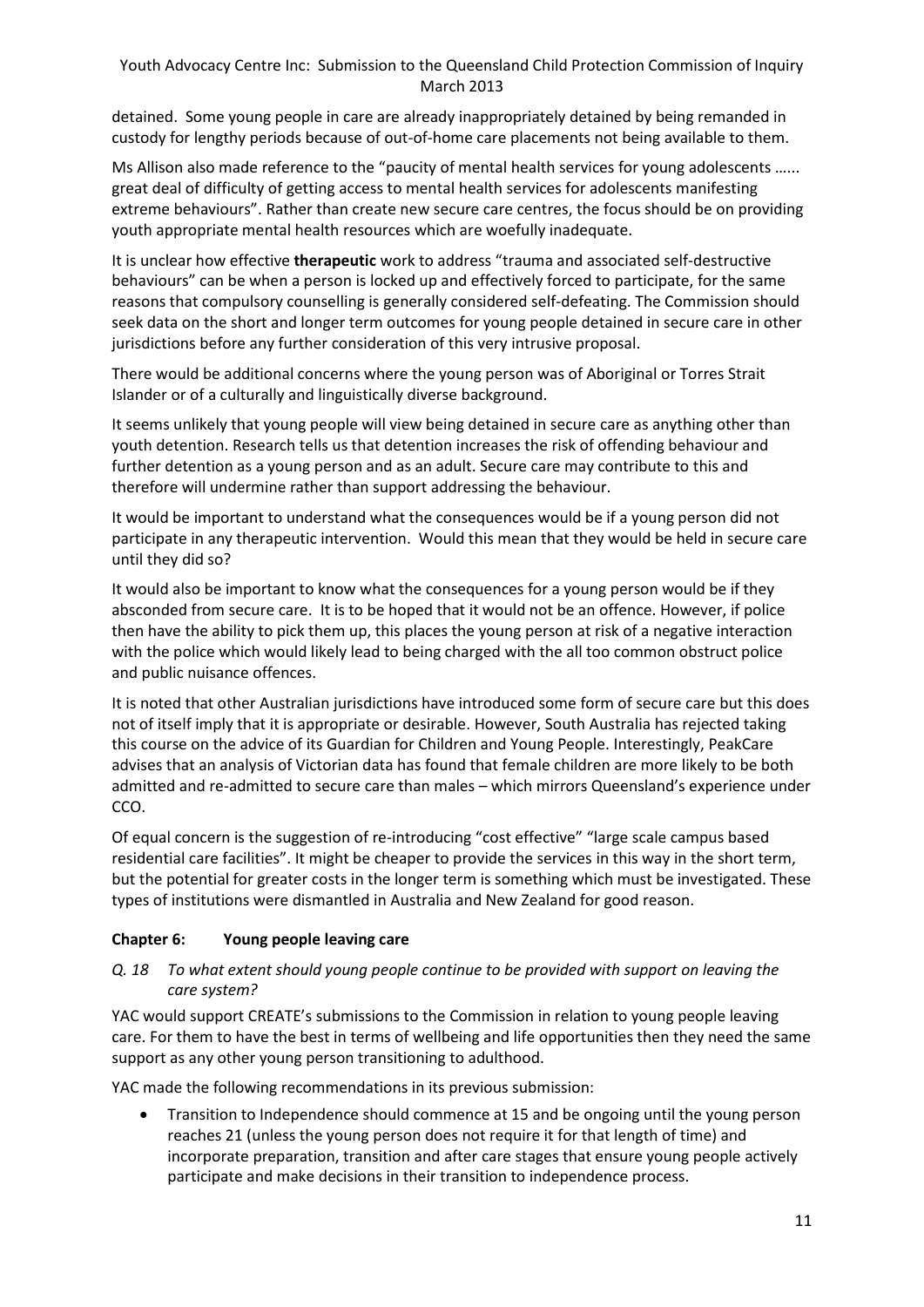detained. Some young people in care are already inappropriately detained by being remanded in custody for lengthy periods because of out-of-home care placements not being available to them.

Ms Allison also made reference to the "paucity of mental health services for young adolescents ...... great deal of difficulty of getting access to mental health services for adolescents manifesting extreme behaviours". Rather than create new secure care centres, the focus should be on providing youth appropriate mental health resources which are woefully inadequate.

It is unclear how effective **therapeutic** work to address "trauma and associated self-destructive behaviours" can be when a person is locked up and effectively forced to participate, for the same reasons that compulsory counselling is generally considered self-defeating. The Commission should seek data on the short and longer term outcomes for young people detained in secure care in other jurisdictions before any further consideration of this very intrusive proposal.

There would be additional concerns where the young person was of Aboriginal or Torres Strait Islander or of a culturally and linguistically diverse background.

It seems unlikely that young people will view being detained in secure care as anything other than youth detention. Research tells us that detention increases the risk of offending behaviour and further detention as a young person and as an adult. Secure care may contribute to this and therefore will undermine rather than support addressing the behaviour.

It would be important to understand what the consequences would be if a young person did not participate in any therapeutic intervention. Would this mean that they would be held in secure care until they did so?

It would also be important to know what the consequences for a young person would be if they absconded from secure care. It is to be hoped that it would not be an offence. However, if police then have the ability to pick them up, this places the young person at risk of a negative interaction with the police which would likely lead to being charged with the all too common obstruct police and public nuisance offences.

It is noted that other Australian jurisdictions have introduced some form of secure care but this does not of itself imply that it is appropriate or desirable. However, South Australia has rejected taking this course on the advice of its Guardian for Children and Young People. Interestingly, PeakCare advises that an analysis of Victorian data has found that female children are more likely to be both admitted and re-admitted to secure care than males – which mirrors Queensland's experience under CCO.

Of equal concern is the suggestion of re-introducing "cost effective" "large scale campus based residential care facilities". It might be cheaper to provide the services in this way in the short term, but the potential for greater costs in the longer term is something which must be investigated. These types of institutions were dismantled in Australia and New Zealand for good reason.

# **Chapter 6: Young people leaving care**

# *Q. 18 To what extent should young people continue to be provided with support on leaving the care system?*

YAC would support CREATE's submissions to the Commission in relation to young people leaving care. For them to have the best in terms of wellbeing and life opportunities then they need the same support as any other young person transitioning to adulthood.

YAC made the following recommendations in its previous submission:

 Transition to Independence should commence at 15 and be ongoing until the young person reaches 21 (unless the young person does not require it for that length of time) and incorporate preparation, transition and after care stages that ensure young people actively participate and make decisions in their transition to independence process.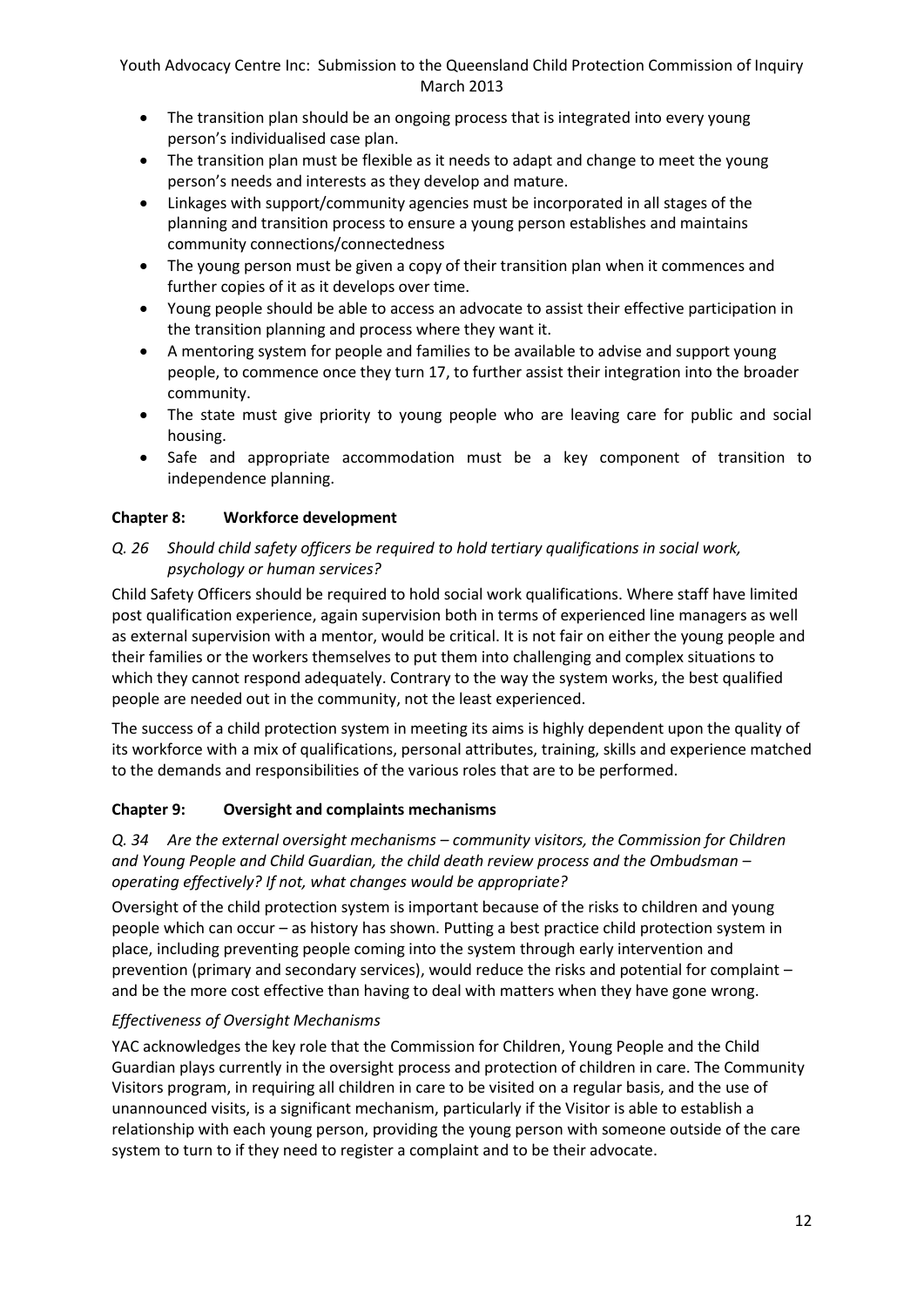- The transition plan should be an ongoing process that is integrated into every young person's individualised case plan.
- The transition plan must be flexible as it needs to adapt and change to meet the young person's needs and interests as they develop and mature.
- Linkages with support/community agencies must be incorporated in all stages of the planning and transition process to ensure a young person establishes and maintains community connections/connectedness
- The young person must be given a copy of their transition plan when it commences and further copies of it as it develops over time.
- Young people should be able to access an advocate to assist their effective participation in the transition planning and process where they want it.
- A mentoring system for people and families to be available to advise and support young people, to commence once they turn 17, to further assist their integration into the broader community.
- The state must give priority to young people who are leaving care for public and social housing.
- Safe and appropriate accommodation must be a key component of transition to independence planning.

# **Chapter 8: Workforce development**

# *Q. 26 Should child safety officers be required to hold tertiary qualifications in social work, psychology or human services?*

Child Safety Officers should be required to hold social work qualifications. Where staff have limited post qualification experience, again supervision both in terms of experienced line managers as well as external supervision with a mentor, would be critical. It is not fair on either the young people and their families or the workers themselves to put them into challenging and complex situations to which they cannot respond adequately. Contrary to the way the system works, the best qualified people are needed out in the community, not the least experienced.

The success of a child protection system in meeting its aims is highly dependent upon the quality of its workforce with a mix of qualifications, personal attributes, training, skills and experience matched to the demands and responsibilities of the various roles that are to be performed.

# **Chapter 9: Oversight and complaints mechanisms**

# *Q. 34 Are the external oversight mechanisms – community visitors, the Commission for Children and Young People and Child Guardian, the child death review process and the Ombudsman – operating effectively? If not, what changes would be appropriate?*

Oversight of the child protection system is important because of the risks to children and young people which can occur – as history has shown. Putting a best practice child protection system in place, including preventing people coming into the system through early intervention and prevention (primary and secondary services), would reduce the risks and potential for complaint – and be the more cost effective than having to deal with matters when they have gone wrong.

# *Effectiveness of Oversight Mechanisms*

YAC acknowledges the key role that the Commission for Children, Young People and the Child Guardian plays currently in the oversight process and protection of children in care. The Community Visitors program, in requiring all children in care to be visited on a regular basis, and the use of unannounced visits, is a significant mechanism, particularly if the Visitor is able to establish a relationship with each young person, providing the young person with someone outside of the care system to turn to if they need to register a complaint and to be their advocate.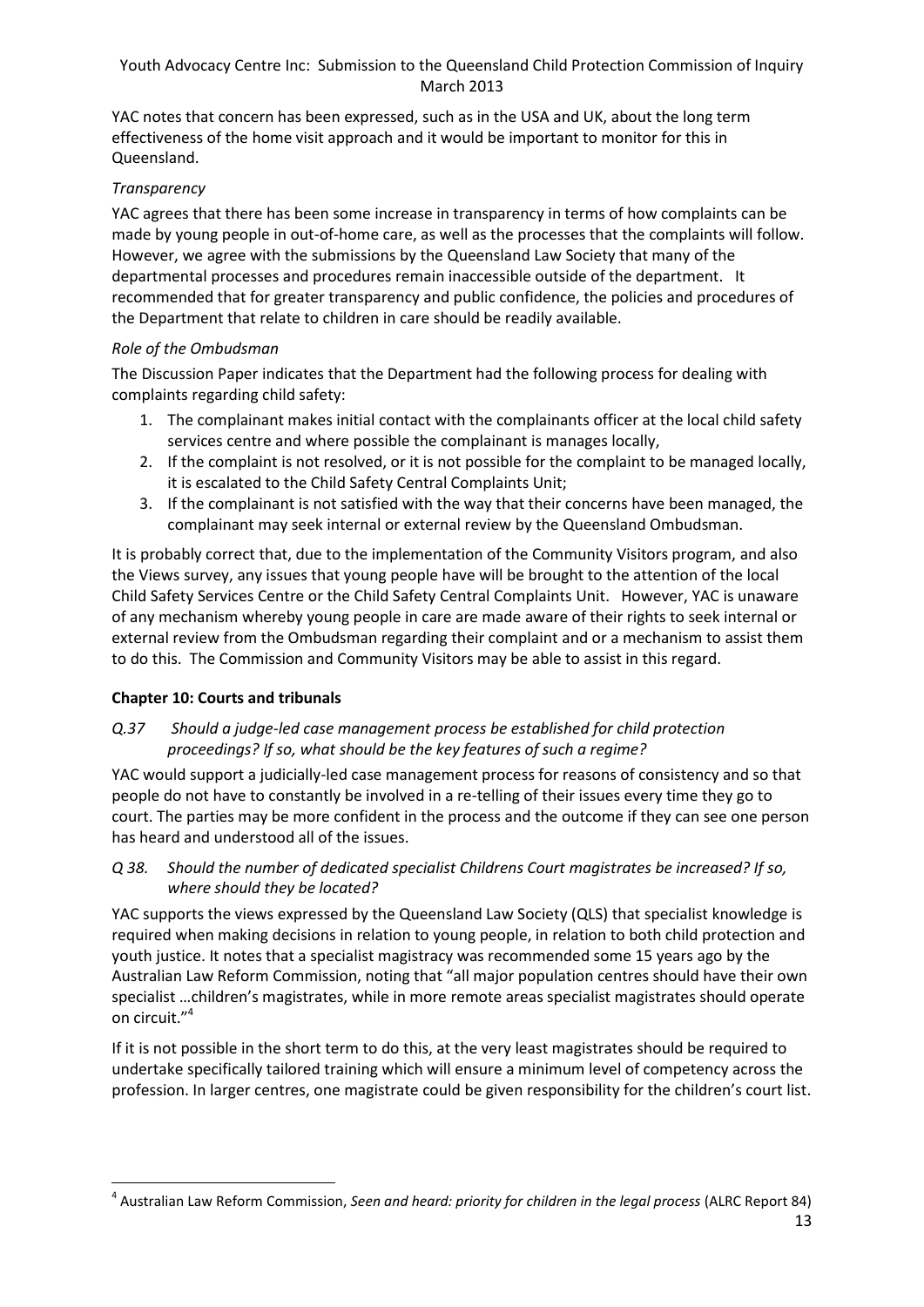YAC notes that concern has been expressed, such as in the USA and UK, about the long term effectiveness of the home visit approach and it would be important to monitor for this in Queensland.

# *Transparency*

YAC agrees that there has been some increase in transparency in terms of how complaints can be made by young people in out-of-home care, as well as the processes that the complaints will follow. However, we agree with the submissions by the Queensland Law Society that many of the departmental processes and procedures remain inaccessible outside of the department. It recommended that for greater transparency and public confidence, the policies and procedures of the Department that relate to children in care should be readily available.

# *Role of the Ombudsman*

The Discussion Paper indicates that the Department had the following process for dealing with complaints regarding child safety:

- 1. The complainant makes initial contact with the complainants officer at the local child safety services centre and where possible the complainant is manages locally,
- 2. If the complaint is not resolved, or it is not possible for the complaint to be managed locally, it is escalated to the Child Safety Central Complaints Unit;
- 3. If the complainant is not satisfied with the way that their concerns have been managed, the complainant may seek internal or external review by the Queensland Ombudsman.

It is probably correct that, due to the implementation of the Community Visitors program, and also the Views survey, any issues that young people have will be brought to the attention of the local Child Safety Services Centre or the Child Safety Central Complaints Unit. However, YAC is unaware of any mechanism whereby young people in care are made aware of their rights to seek internal or external review from the Ombudsman regarding their complaint and or a mechanism to assist them to do this. The Commission and Community Visitors may be able to assist in this regard.

# **Chapter 10: Courts and tribunals**

**.** 

# *Q.37 Should a judge-led case management process be established for child protection proceedings? If so, what should be the key features of such a regime?*

YAC would support a judicially-led case management process for reasons of consistency and so that people do not have to constantly be involved in a re-telling of their issues every time they go to court. The parties may be more confident in the process and the outcome if they can see one person has heard and understood all of the issues.

*Q 38. Should the number of dedicated specialist Childrens Court magistrates be increased? If so, where should they be located?*

YAC supports the views expressed by the Queensland Law Society (QLS) that specialist knowledge is required when making decisions in relation to young people, in relation to both child protection and youth justice. It notes that a specialist magistracy was recommended some 15 years ago by the Australian Law Reform Commission, noting that "all major population centres should have their own specialist …children's magistrates, while in more remote areas specialist magistrates should operate on circuit."<sup>4</sup>

If it is not possible in the short term to do this, at the very least magistrates should be required to undertake specifically tailored training which will ensure a minimum level of competency across the profession. In larger centres, one magistrate could be given responsibility for the children's court list.

<sup>4</sup> Australian Law Reform Commission, *Seen and heard: priority for children in the legal process* (ALRC Report 84)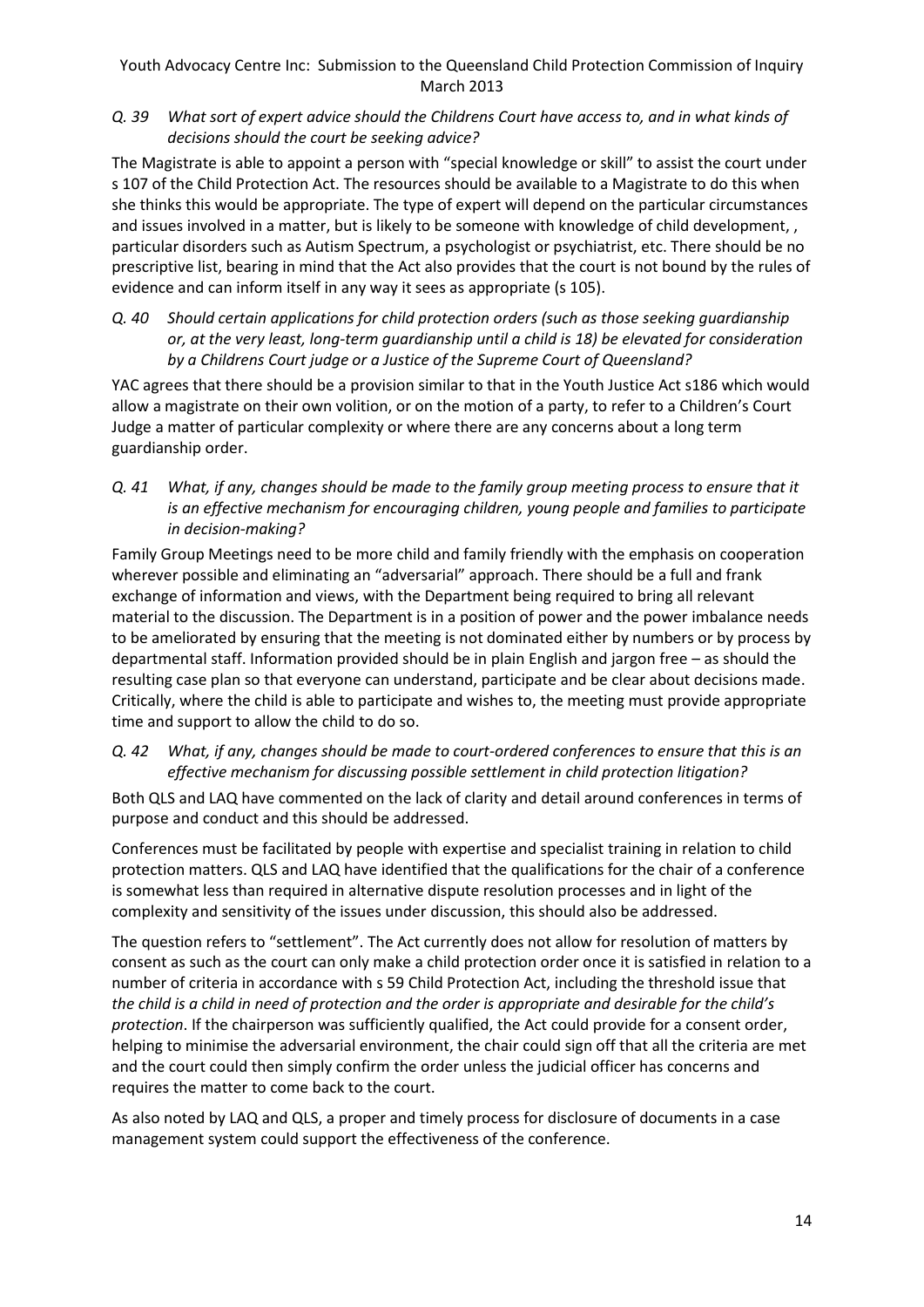*Q. 39 What sort of expert advice should the Childrens Court have access to, and in what kinds of decisions should the court be seeking advice?*

The Magistrate is able to appoint a person with "special knowledge or skill" to assist the court under s 107 of the Child Protection Act. The resources should be available to a Magistrate to do this when she thinks this would be appropriate. The type of expert will depend on the particular circumstances and issues involved in a matter, but is likely to be someone with knowledge of child development, , particular disorders such as Autism Spectrum, a psychologist or psychiatrist, etc. There should be no prescriptive list, bearing in mind that the Act also provides that the court is not bound by the rules of evidence and can inform itself in any way it sees as appropriate (s 105).

*Q. 40 Should certain applications for child protection orders (such as those seeking guardianship or, at the very least, long-term guardianship until a child is 18) be elevated for consideration by a Childrens Court judge or a Justice of the Supreme Court of Queensland?*

YAC agrees that there should be a provision similar to that in the Youth Justice Act s186 which would allow a magistrate on their own volition, or on the motion of a party, to refer to a Children's Court Judge a matter of particular complexity or where there are any concerns about a long term guardianship order.

*Q. 41 What, if any, changes should be made to the family group meeting process to ensure that it is an effective mechanism for encouraging children, young people and families to participate in decision-making?*

Family Group Meetings need to be more child and family friendly with the emphasis on cooperation wherever possible and eliminating an "adversarial" approach. There should be a full and frank exchange of information and views, with the Department being required to bring all relevant material to the discussion. The Department is in a position of power and the power imbalance needs to be ameliorated by ensuring that the meeting is not dominated either by numbers or by process by departmental staff. Information provided should be in plain English and jargon free – as should the resulting case plan so that everyone can understand, participate and be clear about decisions made. Critically, where the child is able to participate and wishes to, the meeting must provide appropriate time and support to allow the child to do so.

# *Q. 42 What, if any, changes should be made to court-ordered conferences to ensure that this is an effective mechanism for discussing possible settlement in child protection litigation?*

Both QLS and LAQ have commented on the lack of clarity and detail around conferences in terms of purpose and conduct and this should be addressed.

Conferences must be facilitated by people with expertise and specialist training in relation to child protection matters. QLS and LAQ have identified that the qualifications for the chair of a conference is somewhat less than required in alternative dispute resolution processes and in light of the complexity and sensitivity of the issues under discussion, this should also be addressed.

The question refers to "settlement". The Act currently does not allow for resolution of matters by consent as such as the court can only make a child protection order once it is satisfied in relation to a number of criteria in accordance with s 59 Child Protection Act, including the threshold issue that *the child is a child in need of protection and the order is appropriate and desirable for the child's protection*. If the chairperson was sufficiently qualified, the Act could provide for a consent order, helping to minimise the adversarial environment, the chair could sign off that all the criteria are met and the court could then simply confirm the order unless the judicial officer has concerns and requires the matter to come back to the court.

As also noted by LAQ and QLS, a proper and timely process for disclosure of documents in a case management system could support the effectiveness of the conference.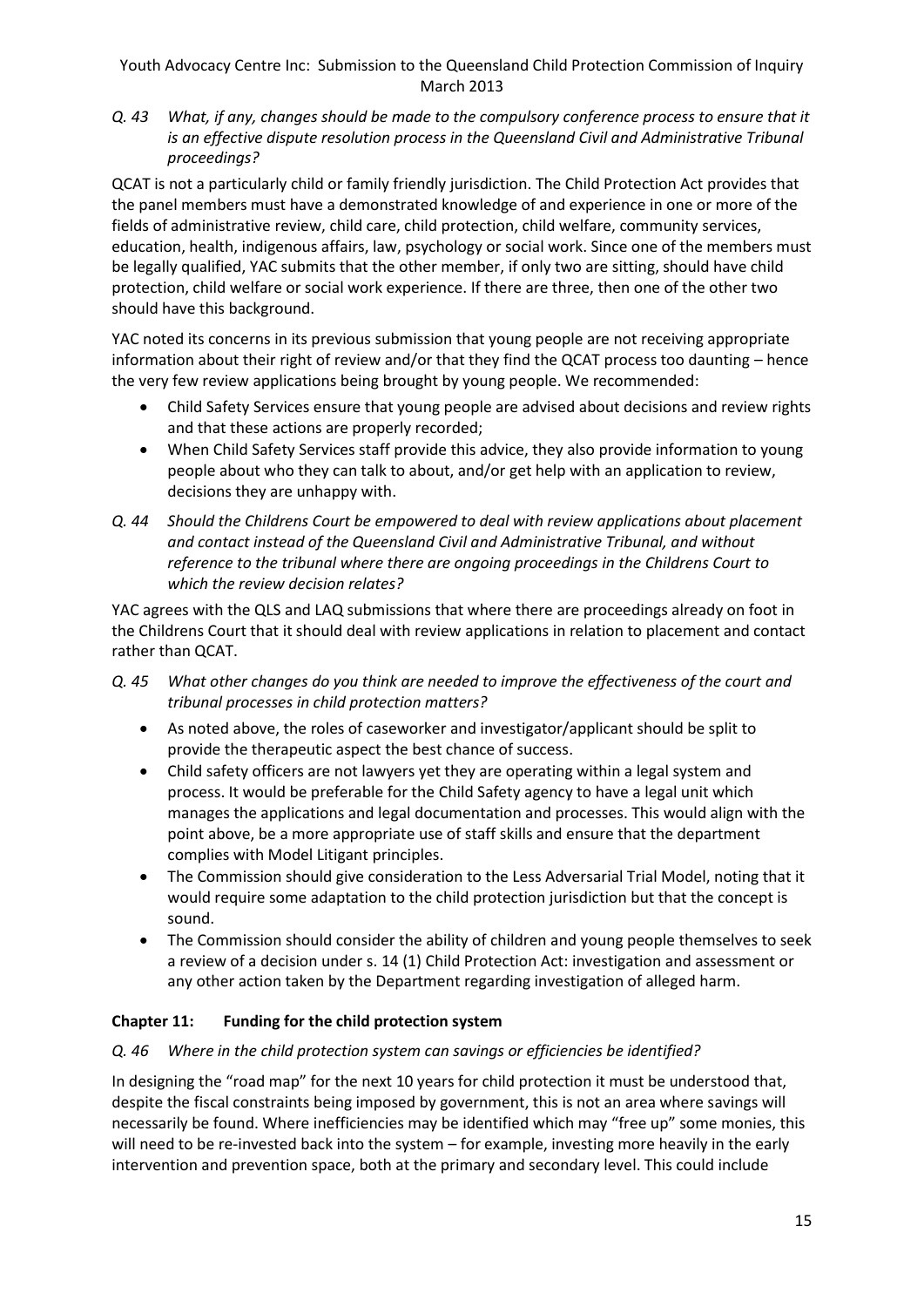*Q. 43 What, if any, changes should be made to the compulsory conference process to ensure that it is an effective dispute resolution process in the Queensland Civil and Administrative Tribunal proceedings?*

QCAT is not a particularly child or family friendly jurisdiction. The Child Protection Act provides that the panel members must have a demonstrated knowledge of and experience in one or more of the fields of administrative review, child care, child protection, child welfare, community services, education, health, indigenous affairs, law, psychology or social work. Since one of the members must be legally qualified, YAC submits that the other member, if only two are sitting, should have child protection, child welfare or social work experience. If there are three, then one of the other two should have this background.

YAC noted its concerns in its previous submission that young people are not receiving appropriate information about their right of review and/or that they find the QCAT process too daunting – hence the very few review applications being brought by young people. We recommended:

- Child Safety Services ensure that young people are advised about decisions and review rights and that these actions are properly recorded;
- When Child Safety Services staff provide this advice, they also provide information to young people about who they can talk to about, and/or get help with an application to review, decisions they are unhappy with.
- *Q. 44 Should the Childrens Court be empowered to deal with review applications about placement and contact instead of the Queensland Civil and Administrative Tribunal, and without reference to the tribunal where there are ongoing proceedings in the Childrens Court to which the review decision relates?*

YAC agrees with the QLS and LAQ submissions that where there are proceedings already on foot in the Childrens Court that it should deal with review applications in relation to placement and contact rather than QCAT.

- *Q. 45 What other changes do you think are needed to improve the effectiveness of the court and tribunal processes in child protection matters?*
	- As noted above, the roles of caseworker and investigator/applicant should be split to provide the therapeutic aspect the best chance of success.
	- Child safety officers are not lawyers yet they are operating within a legal system and process. It would be preferable for the Child Safety agency to have a legal unit which manages the applications and legal documentation and processes. This would align with the point above, be a more appropriate use of staff skills and ensure that the department complies with Model Litigant principles.
	- The Commission should give consideration to the Less Adversarial Trial Model, noting that it would require some adaptation to the child protection jurisdiction but that the concept is sound.
	- The Commission should consider the ability of children and young people themselves to seek a review of a decision under s. 14 (1) Child Protection Act: investigation and assessment or any other action taken by the Department regarding investigation of alleged harm.

# **Chapter 11: Funding for the child protection system**

# *Q. 46 Where in the child protection system can savings or efficiencies be identified?*

In designing the "road map" for the next 10 years for child protection it must be understood that, despite the fiscal constraints being imposed by government, this is not an area where savings will necessarily be found. Where inefficiencies may be identified which may "free up" some monies, this will need to be re-invested back into the system – for example, investing more heavily in the early intervention and prevention space, both at the primary and secondary level. This could include